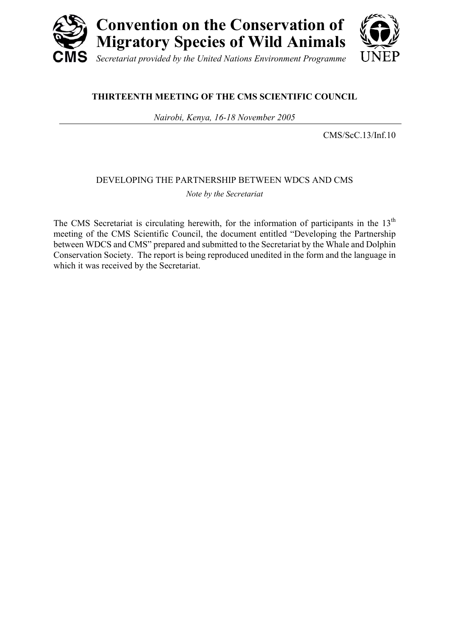

### **THIRTEENTH MEETING OF THE CMS SCIENTIFIC COUNCIL**

*Nairobi, Kenya, 16-18 November 2005* 

CMS/ScC.13/Inf.10

### DEVELOPING THE PARTNERSHIP BETWEEN WDCS AND CMS

*Note by the Secretariat* 

The CMS Secretariat is circulating herewith, for the information of participants in the  $13<sup>th</sup>$ meeting of the CMS Scientific Council, the document entitled "Developing the Partnership between WDCS and CMS" prepared and submitted to the Secretariat by the Whale and Dolphin Conservation Society. The report is being reproduced unedited in the form and the language in which it was received by the Secretariat.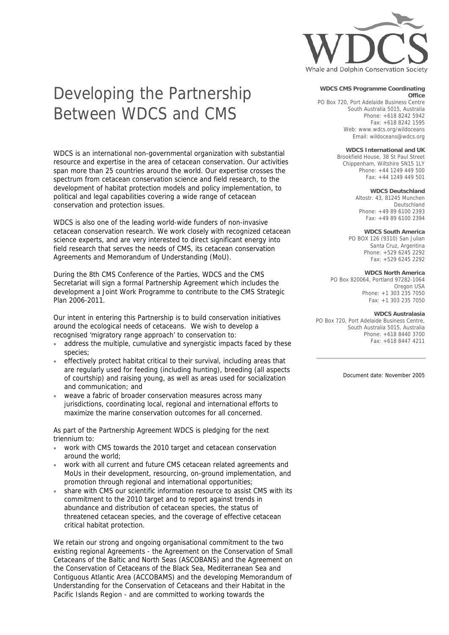

# Developing the Partnership Between WDCS and CMS

WDCS is an international non-governmental organization with substantial resource and expertise in the area of cetacean conservation. Our activities span more than 25 countries around the world. Our expertise crosses the spectrum from cetacean conservation science and field research, to the development of habitat protection models and policy implementation, to political and legal capabilities covering a wide range of cetacean conservation and protection issues.

WDCS is also one of the leading world-wide funders of non-invasive cetacean conservation research. We work closely with recognized cetacean science experts, and are very interested to direct significant energy into field research that serves the needs of CMS, its cetacean conservation Agreements and Memorandum of Understanding (MoU).

During the 8th CMS Conference of the Parties, WDCS and the CMS Secretariat will sign a formal Partnership Agreement which includes the development a Joint Work Programme to contribute to the CMS Strategic Plan 2006-2011.

Our intent in entering this Partnership is to build conservation initiatives around the ecological needs of cetaceans. We wish to develop a recognised 'migratory range approach' to conservation to:

- address the multiple, cumulative and synergistic impacts faced by these species;
- effectively protect habitat critical to their survival, including areas that are regularly used for feeding (including hunting), breeding (all aspects of courtship) and raising young, as well as areas used for socialization and communication; and
- weave a fabric of broader conservation measures across many jurisdictions, coordinating local, regional and international efforts to maximize the marine conservation outcomes for all concerned.

As part of the Partnership Agreement WDCS is pledging for the next triennium to:

- work with CMS towards the 2010 target and cetacean conservation around the world;
- work with all current and future CMS cetacean related agreements and MoUs in their development, resourcing, on-ground implementation, and promotion through regional and international opportunities;
- share with CMS our scientific information resource to assist CMS with its commitment to the 2010 target and to report against trends in abundance and distribution of cetacean species, the status of threatened cetacean species, and the coverage of effective cetacean critical habitat protection.

We retain our strong and ongoing organisational commitment to the two existing regional Agreements - the Agreement on the Conservation of Small Cetaceans of the Baltic and North Seas (ASCOBANS) and the Agreement on the Conservation of Cetaceans of the Black Sea, Mediterranean Sea and Contiguous Atlantic Area (ACCOBAMS) and the developing Memorandum of Understanding for the Conservation of Cetaceans and their Habitat in the Pacific Islands Region - and are committed to working towards the

#### **WDCS CMS Programme Coordinating Office**

PO Box 720, Port Adelaide Business Centre South Australia 5015, Australia Phone: +618 8242 5942 Fax: +618 8242 1595 Web: www.wdcs.org/wildoceans Email: wildoceans@wdcs.org

**WDCS International and UK**

Brookfield House, 38 St Paul Street Chippenham, Wiltshire SN15 1LY Phone: +44 1249 449 500 Fax: +44 1249 449 501

**WDCS Deutschland**

Altostr. 43, 81245 Munchen Deutschland Phone: +49 89 6100 2393 Fax: +49 89 6100 2394

### **WDCS South America**

PO BOX 126 (9310) San Julian Santa Cruz, Argentina Phone: +529 6245 2292 Fax: +529 6245 2292

#### **WDCS North America**

PO Box 820064, Portland 97282-1064 Oregon USA Phone: +1 303 235 7050 Fax: +1 303 235 7050

#### **WDCS Australasia**

PO Box 720, Port Adelaide Business Centre, South Australia 5015, Australia Phone: +618 8440 3700 Fax: +618 8447 4211

Document date: November 2005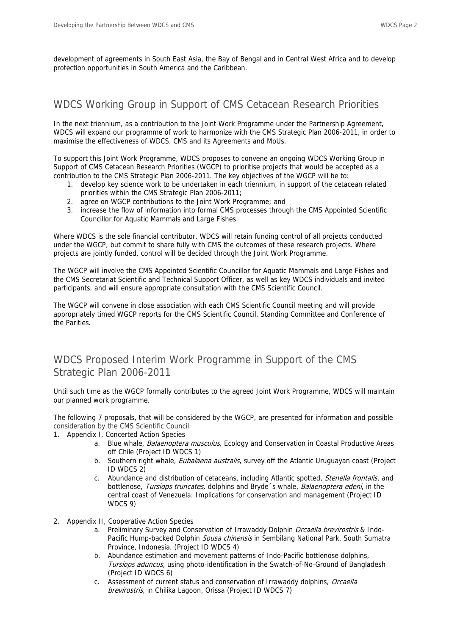development of agreements in South East Asia, the Bay of Bengal and in Central West Africa and to develop protection opportunities in South America and the Caribbean.

### WDCS Working Group in Support of CMS Cetacean Research Priorities

In the next triennium, as a contribution to the Joint Work Programme under the Partnership Agreement, WDCS will expand our programme of work to harmonize with the CMS Strategic Plan 2006-2011, in order to maximise the effectiveness of WDCS, CMS and its Agreements and MoUs.

To support this Joint Work Programme, WDCS proposes to convene an ongoing WDCS Working Group in Support of CMS Cetacean Research Priorities (WGCP) to prioritise projects that would be accepted as a contribution to the CMS Strategic Plan 2006-2011. The key objectives of the WGCP will be to:

- 1. develop key science work to be undertaken in each triennium, in support of the cetacean related priorities within the CMS Strategic Plan 2006-2011;
- 2. agree on WGCP contributions to the Joint Work Programme; and
- 3. increase the flow of information into formal CMS processes through the CMS Appointed Scientific Councillor for Aquatic Mammals and Large Fishes.

Where WDCS is the sole financial contributor, WDCS will retain funding control of all projects conducted under the WGCP, but commit to share fully with CMS the outcomes of these research projects. Where projects are jointly funded, control will be decided through the Joint Work Programme.

The WGCP will involve the CMS Appointed Scientific Councillor for Aquatic Mammals and Large Fishes and the CMS Secretariat Scientific and Technical Support Officer, as well as key WDCS individuals and invited participants, and will ensure appropriate consultation with the CMS Scientific Council.

The WGCP will convene in close association with each CMS Scientific Council meeting and will provide appropriately timed WGCP reports for the CMS Scientific Council, Standing Committee and Conference of the Parities.

# WDCS Proposed Interim Work Programme in Support of the CMS Strategic Plan 2006-2011

Until such time as the WGCP formally contributes to the agreed Joint Work Programme, WDCS will maintain our planned work programme.

The following 7 proposals, that will be considered by the WGCP, are presented for information and possible consideration by the CMS Scientific Council:

- 1. Appendix I, Concerted Action Species
	- a. Blue whale, Balaenoptera musculus, Ecology and Conservation in Coastal Productive Areas off Chile (Project ID WDCS 1)
	- b. Southern right whale, *Eubalaena australis*, survey off the Atlantic Uruguayan coast (Project ID WDCS 2)
	- c. Abundance and distribution of cetaceans, including Atlantic spotted, *Stenella frontalis*, and bottlenose, Tursiops truncates, dolphins and Bryde 's whale, Balaenoptera edeni, in the central coast of Venezuela: Implications for conservation and management (Project ID WDCS 9)
- 2. Appendix II, Cooperative Action Species
	- a. Preliminary Survey and Conservation of Irrawaddy Dolphin Orcaella brevirostris & Indo-Pacific Hump-backed Dolphin Sousa chinensis in Sembilang National Park, South Sumatra Province, Indonesia. (Project ID WDCS 4)
	- b. Abundance estimation and movement patterns of Indo-Pacific bottlenose dolphins, Tursiops aduncus, using photo-identification in the Swatch-of-No-Ground of Bangladesh (Project ID WDCS 6)
	- c. Assessment of current status and conservation of Irrawaddy dolphins, Orcaella brevirostris, in Chilika Lagoon, Orissa (Project ID WDCS 7)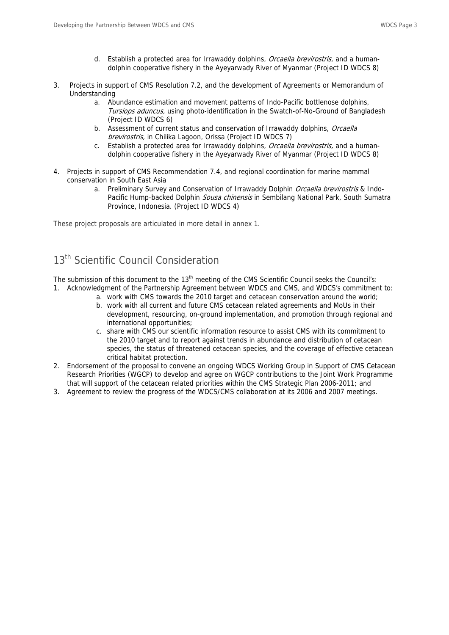- d. Establish a protected area for Irrawaddy dolphins, Orcaella brevirostris, and a humandolphin cooperative fishery in the Ayeyarwady River of Myanmar (Project ID WDCS 8)
- 3. Projects in support of CMS Resolution 7.2, and the development of Agreements or Memorandum of Understanding
	- a. Abundance estimation and movement patterns of Indo-Pacific bottlenose dolphins, Tursiops aduncus, using photo-identification in the Swatch-of-No-Ground of Bangladesh (Project ID WDCS 6)
	- b. Assessment of current status and conservation of Irrawaddy dolphins, Orcaella brevirostris, in Chilika Lagoon, Orissa (Project ID WDCS 7)
	- c. Establish a protected area for Irrawaddy dolphins, Orcaella brevirostris, and a humandolphin cooperative fishery in the Ayeyarwady River of Myanmar (Project ID WDCS 8)
- 4. Projects in support of CMS Recommendation 7.4, and regional coordination for marine mammal conservation in South East Asia
	- a. Preliminary Survey and Conservation of Irrawaddy Dolphin Orcaella brevirostris & Indo-Pacific Hump-backed Dolphin *Sousa chinensis* in Sembilang National Park, South Sumatra Province, Indonesia. (Project ID WDCS 4)

These project proposals are articulated in more detail in annex 1.

## 13<sup>th</sup> Scientific Council Consideration

The submission of this document to the 13<sup>th</sup> meeting of the CMS Scientific Council seeks the Council's: 1. Acknowledgment of the Partnership Agreement between WDCS and CMS, and WDCS's commitment to:

- a. work with CMS towards the 2010 target and cetacean conservation around the world;
	- b. work with all current and future CMS cetacean related agreements and MoUs in their development, resourcing, on-ground implementation, and promotion through regional and international opportunities;
	- c. share with CMS our scientific information resource to assist CMS with its commitment to the 2010 target and to report against trends in abundance and distribution of cetacean species, the status of threatened cetacean species, and the coverage of effective cetacean critical habitat protection.
- 2. Endorsement of the proposal to convene an ongoing WDCS Working Group in Support of CMS Cetacean Research Priorities (WGCP) to develop and agree on WGCP contributions to the Joint Work Programme that will support of the cetacean related priorities within the CMS Strategic Plan 2006-2011; and
- 3. Agreement to review the progress of the WDCS/CMS collaboration at its 2006 and 2007 meetings.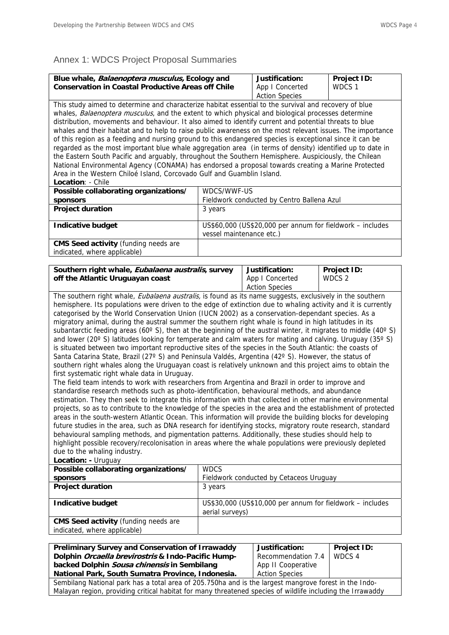### Annex 1: WDCS Project Proposal Summaries

| Blue whale, Balaenoptera musculus, Ecology and<br><b>Conservation in Coastal Productive Areas off Chile</b>                                                                                                                                                                                                                                                                                                                                                                                                                                                                                                                                                                                                                                                                                                                                                                                          |                                                                                                                                                                                                                   | Justification:<br>App I Concerted          | Project ID:<br>WDCS 1                                     |  |
|------------------------------------------------------------------------------------------------------------------------------------------------------------------------------------------------------------------------------------------------------------------------------------------------------------------------------------------------------------------------------------------------------------------------------------------------------------------------------------------------------------------------------------------------------------------------------------------------------------------------------------------------------------------------------------------------------------------------------------------------------------------------------------------------------------------------------------------------------------------------------------------------------|-------------------------------------------------------------------------------------------------------------------------------------------------------------------------------------------------------------------|--------------------------------------------|-----------------------------------------------------------|--|
| <b>Action Species</b><br>This study aimed to determine and characterize habitat essential to the survival and recovery of blue<br>whales, Balaenoptera musculus, and the extent to which physical and biological processes determine<br>distribution, movements and behaviour. It also aimed to identify current and potential threats to blue<br>whales and their habitat and to help to raise public awareness on the most relevant issues. The importance<br>of this region as a feeding and nursing ground to this endangered species is exceptional since it can be<br>regarded as the most important blue whale aggregation area (in terms of density) identified up to date in<br>the Eastern South Pacific and arguably, throughout the Southern Hemisphere. Auspiciously, the Chilean<br>National Environmental Agency (CONAMA) has endorsed a proposal towards creating a Marine Protected |                                                                                                                                                                                                                   |                                            |                                                           |  |
| Area in the Western Chiloé Island, Corcovado Gulf and Guamblin Island.<br>Location: - Chile                                                                                                                                                                                                                                                                                                                                                                                                                                                                                                                                                                                                                                                                                                                                                                                                          |                                                                                                                                                                                                                   |                                            |                                                           |  |
| Possible collaborating organizations/                                                                                                                                                                                                                                                                                                                                                                                                                                                                                                                                                                                                                                                                                                                                                                                                                                                                | WDCS/WWF-US                                                                                                                                                                                                       |                                            |                                                           |  |
| sponsors                                                                                                                                                                                                                                                                                                                                                                                                                                                                                                                                                                                                                                                                                                                                                                                                                                                                                             |                                                                                                                                                                                                                   | Fieldwork conducted by Centro Ballena Azul |                                                           |  |
| <b>Project duration</b>                                                                                                                                                                                                                                                                                                                                                                                                                                                                                                                                                                                                                                                                                                                                                                                                                                                                              | 3 years                                                                                                                                                                                                           |                                            |                                                           |  |
| <b>Indicative budget</b>                                                                                                                                                                                                                                                                                                                                                                                                                                                                                                                                                                                                                                                                                                                                                                                                                                                                             | vessel maintenance etc.)                                                                                                                                                                                          |                                            | US\$60,000 (US\$20,000 per annum for fieldwork - includes |  |
| <b>CMS Seed activity (funding needs are</b>                                                                                                                                                                                                                                                                                                                                                                                                                                                                                                                                                                                                                                                                                                                                                                                                                                                          |                                                                                                                                                                                                                   |                                            |                                                           |  |
| indicated, where applicable)                                                                                                                                                                                                                                                                                                                                                                                                                                                                                                                                                                                                                                                                                                                                                                                                                                                                         |                                                                                                                                                                                                                   |                                            |                                                           |  |
|                                                                                                                                                                                                                                                                                                                                                                                                                                                                                                                                                                                                                                                                                                                                                                                                                                                                                                      |                                                                                                                                                                                                                   |                                            |                                                           |  |
| Southern right whale, Eubalaena australis, survey                                                                                                                                                                                                                                                                                                                                                                                                                                                                                                                                                                                                                                                                                                                                                                                                                                                    |                                                                                                                                                                                                                   | Justification:                             | Project ID:                                               |  |
| off the Atlantic Uruguayan coast                                                                                                                                                                                                                                                                                                                                                                                                                                                                                                                                                                                                                                                                                                                                                                                                                                                                     |                                                                                                                                                                                                                   | App I Concerted                            | WDCS <sub>2</sub>                                         |  |
| <b>Action Species</b><br>The southern right whale, <i>Eubalaena australis</i> , is found as its name suggests, exclusively in the southern                                                                                                                                                                                                                                                                                                                                                                                                                                                                                                                                                                                                                                                                                                                                                           |                                                                                                                                                                                                                   |                                            |                                                           |  |
| hemisphere. Its populations were driven to the edge of extinction due to whaling activity and it is currently                                                                                                                                                                                                                                                                                                                                                                                                                                                                                                                                                                                                                                                                                                                                                                                        |                                                                                                                                                                                                                   |                                            |                                                           |  |
| categorised by the World Conservation Union (IUCN 2002) as a conservation-dependant species. As a                                                                                                                                                                                                                                                                                                                                                                                                                                                                                                                                                                                                                                                                                                                                                                                                    |                                                                                                                                                                                                                   |                                            |                                                           |  |
| migratory animal, during the austral summer the southern right whale is found in high latitudes in its                                                                                                                                                                                                                                                                                                                                                                                                                                                                                                                                                                                                                                                                                                                                                                                               |                                                                                                                                                                                                                   |                                            |                                                           |  |
| subantarctic feeding areas (60 $^{\circ}$ S), then at the beginning of the austral winter, it migrates to middle (40 $^{\circ}$ S)                                                                                                                                                                                                                                                                                                                                                                                                                                                                                                                                                                                                                                                                                                                                                                   |                                                                                                                                                                                                                   |                                            |                                                           |  |
| and lower (20 $\degree$ S) latitudes looking for temperate and calm waters for mating and calving. Uruguay (35 $\degree$ S)                                                                                                                                                                                                                                                                                                                                                                                                                                                                                                                                                                                                                                                                                                                                                                          |                                                                                                                                                                                                                   |                                            |                                                           |  |
| is situated between two important reproductive sites of the species in the South Atlantic: the coasts of                                                                                                                                                                                                                                                                                                                                                                                                                                                                                                                                                                                                                                                                                                                                                                                             |                                                                                                                                                                                                                   |                                            |                                                           |  |
|                                                                                                                                                                                                                                                                                                                                                                                                                                                                                                                                                                                                                                                                                                                                                                                                                                                                                                      | Santa Catarina State, Brazil (27° S) and Peninsula Valdés, Argentina (42° S). However, the status of<br>southern right whales along the Uruguayan coast is relatively unknown and this project aims to obtain the |                                            |                                                           |  |
|                                                                                                                                                                                                                                                                                                                                                                                                                                                                                                                                                                                                                                                                                                                                                                                                                                                                                                      |                                                                                                                                                                                                                   |                                            |                                                           |  |
| first systematic right whale data in Uruguay.<br>The field team intends to work with researchers from Argentina and Brazil in order to improve and                                                                                                                                                                                                                                                                                                                                                                                                                                                                                                                                                                                                                                                                                                                                                   |                                                                                                                                                                                                                   |                                            |                                                           |  |
|                                                                                                                                                                                                                                                                                                                                                                                                                                                                                                                                                                                                                                                                                                                                                                                                                                                                                                      |                                                                                                                                                                                                                   |                                            |                                                           |  |
| standardise research methods such as photo-identification, behavioural methods, and abundance<br>estimation. They then seek to integrate this information with that collected in other marine environmental                                                                                                                                                                                                                                                                                                                                                                                                                                                                                                                                                                                                                                                                                          |                                                                                                                                                                                                                   |                                            |                                                           |  |
| projects, so as to contribute to the knowledge of the species in the area and the establishment of protected                                                                                                                                                                                                                                                                                                                                                                                                                                                                                                                                                                                                                                                                                                                                                                                         |                                                                                                                                                                                                                   |                                            |                                                           |  |
| areas in the south-western Atlantic Ocean. This information will provide the building blocks for developing                                                                                                                                                                                                                                                                                                                                                                                                                                                                                                                                                                                                                                                                                                                                                                                          |                                                                                                                                                                                                                   |                                            |                                                           |  |
| future studies in the area, such as DNA research for identifying stocks, migratory route research, standard                                                                                                                                                                                                                                                                                                                                                                                                                                                                                                                                                                                                                                                                                                                                                                                          |                                                                                                                                                                                                                   |                                            |                                                           |  |
| behavioural sampling methods, and pigmentation patterns. Additionally, these studies should help to<br>highlight possible recovery/recolonisation in areas where the whale populations were previously depleted                                                                                                                                                                                                                                                                                                                                                                                                                                                                                                                                                                                                                                                                                      |                                                                                                                                                                                                                   |                                            |                                                           |  |
| due to the whaling industry.                                                                                                                                                                                                                                                                                                                                                                                                                                                                                                                                                                                                                                                                                                                                                                                                                                                                         |                                                                                                                                                                                                                   |                                            |                                                           |  |
| Location: - Uruguay                                                                                                                                                                                                                                                                                                                                                                                                                                                                                                                                                                                                                                                                                                                                                                                                                                                                                  |                                                                                                                                                                                                                   |                                            |                                                           |  |
| Possible collaborating organizations/<br><b>WDCS</b>                                                                                                                                                                                                                                                                                                                                                                                                                                                                                                                                                                                                                                                                                                                                                                                                                                                 |                                                                                                                                                                                                                   |                                            |                                                           |  |
| sponsors<br>Fieldwork conducted by Cetaceos Uruguay                                                                                                                                                                                                                                                                                                                                                                                                                                                                                                                                                                                                                                                                                                                                                                                                                                                  |                                                                                                                                                                                                                   |                                            |                                                           |  |
| <b>Project duration</b>                                                                                                                                                                                                                                                                                                                                                                                                                                                                                                                                                                                                                                                                                                                                                                                                                                                                              | 3 years                                                                                                                                                                                                           |                                            |                                                           |  |
| <b>Indicative budget</b>                                                                                                                                                                                                                                                                                                                                                                                                                                                                                                                                                                                                                                                                                                                                                                                                                                                                             | US\$30,000 (US\$10,000 per annum for fieldwork – includes<br>aerial surveys)                                                                                                                                      |                                            |                                                           |  |
| <b>CMS Seed activity (funding needs are</b>                                                                                                                                                                                                                                                                                                                                                                                                                                                                                                                                                                                                                                                                                                                                                                                                                                                          |                                                                                                                                                                                                                   |                                            |                                                           |  |
| indicated, where applicable)                                                                                                                                                                                                                                                                                                                                                                                                                                                                                                                                                                                                                                                                                                                                                                                                                                                                         |                                                                                                                                                                                                                   |                                            |                                                           |  |
|                                                                                                                                                                                                                                                                                                                                                                                                                                                                                                                                                                                                                                                                                                                                                                                                                                                                                                      |                                                                                                                                                                                                                   | Justification:                             | Project ID:                                               |  |
| Preliminary Survey and Conservation of Irrawaddy<br>Dolphin Orcaella brevirostris & Indo-Pacific Hump-                                                                                                                                                                                                                                                                                                                                                                                                                                                                                                                                                                                                                                                                                                                                                                                               |                                                                                                                                                                                                                   | Recommendation 7.4                         | WDCS 4                                                    |  |

**backed Dolphin Sousa chinensis in Sembilang National Park, South Sumatra Province, Indonesia.** 

| Justification:        | Project ID: |
|-----------------------|-------------|
| Recommendation 7.4    | WDCS 4      |
| App II Cooperative    |             |
| <b>Action Species</b> |             |

Sembilang National park has a total area of 205.750ha and is the largest mangrove forest in the Indo-Malayan region, providing critical habitat for many threatened species of wildlife including the Irrawaddy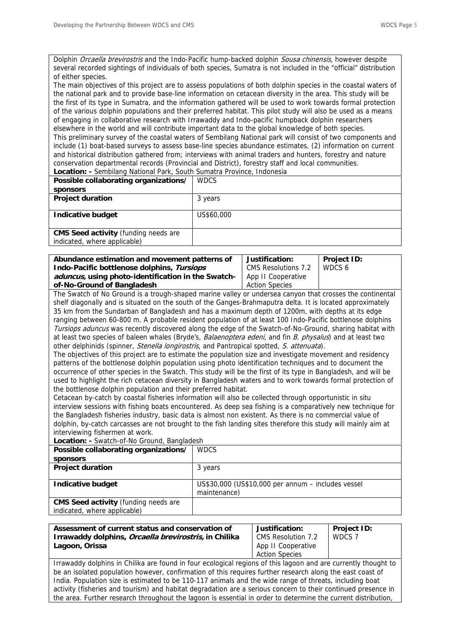Dolphin Orcaella brevirostris and the Indo-Pacific hump-backed dolphin Sousa chinensis, however despite several recorded sightings of individuals of both species, Sumatra is not included in the "official" distribution of either species.

The main objectives of this project are to assess populations of both dolphin species in the coastal waters of the national park and to provide base-line information on cetacean diversity in the area. This study will be the first of its type in Sumatra, and the information gathered will be used to work towards formal protection of the various dolphin populations and their preferred habitat. This pilot study will also be used as a means of engaging in collaborative research with Irrawaddy and Indo-pacific humpback dolphin researchers elsewhere in the world and will contribute important data to the global knowledge of both species. This preliminary survey of the coastal waters of Sembilang National park will consist of two components and include (1) boat-based surveys to assess base-line species abundance estimates, (2) information on current and historical distribution gathered from; interviews with animal traders and hunters, forestry and nature conservation departmental records (Provincial and District), forestry staff and local communities. **Location: -** Sembilang National Park, South Sumatra Province, Indonesia

| <b>WDCS</b><br>Possible collaborating organizations/<br><b>sponsors</b><br><b>Project duration</b><br>3 years<br>Indicative budget<br>US\$60,000 |
|--------------------------------------------------------------------------------------------------------------------------------------------------|
|                                                                                                                                                  |
|                                                                                                                                                  |
|                                                                                                                                                  |
|                                                                                                                                                  |
|                                                                                                                                                  |
|                                                                                                                                                  |
| <b>CMS Seed activity (funding needs are</b>                                                                                                      |
| indicated, where applicable)                                                                                                                     |

| Abundance estimation and movement patterns of      | Justification:        | <b>Project ID:</b> |
|----------------------------------------------------|-----------------------|--------------------|
| Indo-Pacific bottlenose dolphins, Tursiops         | CMS Resolutions 7.2   | WDCS 6             |
| aduncus, using photo-identification in the Swatch- | App II Cooperative    |                    |
| of-No-Ground of Bangladesh                         | <b>Action Species</b> |                    |

The Swatch of No Ground is a trough-shaped marine valley or undersea canyon that crosses the continental shelf diagonally and is situated on the south of the Ganges-Brahmaputra delta. It is located approximately 35 km from the Sundarban of Bangladesh and has a maximum depth of 1200m, with depths at its edge ranging between 60-800 m. A probable resident population of at least 100 Indo-Pacific bottlenose dolphins Tursiops aduncus was recently discovered along the edge of the Swatch-of-No-Ground, sharing habitat with at least two species of baleen whales (Bryde's, Balaenoptera edeni, and fin B. physalus) and at least two other delphinids (spinner, *Stenella longirostris*, and Pantropical spotted, S. attenuata).

The objectives of this project are to estimate the population size and investigate movement and residency patterns of the bottlenose dolphin population using photo identification techniques and to document the occurrence of other species in the Swatch. This study will be the first of its type in Bangladesh, and will be used to highlight the rich cetacean diversity in Bangladesh waters and to work towards formal protection of the bottlenose dolphin population and their preferred habitat.

Cetacean by-catch by coastal fisheries information will also be collected through opportunistic in situ interview sessions with fishing boats encountered. As deep sea fishing is a comparatively new technique for the Bangladesh fisheries industry, basic data is almost non existent. As there is no commercial value of dolphin, by-catch carcasses are not brought to the fish landing sites therefore this study will mainly aim at interviewing fishermen at work.

**Location: -** Swatch-of-No Ground, Bangladesh

| <b>WDCS</b>                                        |  |  |
|----------------------------------------------------|--|--|
|                                                    |  |  |
| 3 years                                            |  |  |
|                                                    |  |  |
| US\$30,000 (US\$10,000 per annum - includes vessel |  |  |
| maintenance)                                       |  |  |
|                                                    |  |  |
|                                                    |  |  |
|                                                    |  |  |

| Assessment of current status and conservation of              | Justification:        | <b>Project ID:</b> |
|---------------------------------------------------------------|-----------------------|--------------------|
| Irrawaddy dolphins, <i>Orcaella brevirostris</i> , in Chilika | CMS Resolution 7.2    | WDCS 7             |
| Lagoon, Orissa                                                | App II Cooperative    |                    |
|                                                               | <b>Action Species</b> |                    |

Irrawaddy dolphins in Chilika are found in four ecological regions of this lagoon and are currently thought to be an isolated population however, confirmation of this requires further research along the east coast of India. Population size is estimated to be 110-117 animals and the wide range of threats, including boat activity (fisheries and tourism) and habitat degradation are a serious concern to their continued presence in the area. Further research throughout the lagoon is essential in order to determine the current distribution,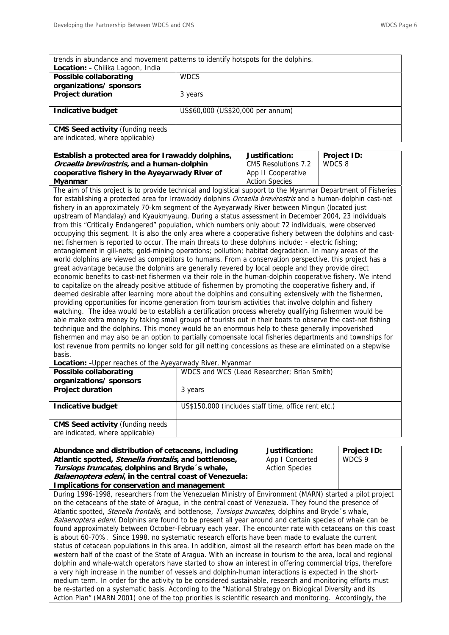| trends in abundance and movement patterns to identify hotspots for the dolphins. |                                   |  |
|----------------------------------------------------------------------------------|-----------------------------------|--|
| Location: - Chilika Lagoon, India                                                |                                   |  |
| Possible collaborating                                                           | <b>WDCS</b>                       |  |
| organizations/ sponsors                                                          |                                   |  |
| <b>Project duration</b>                                                          | 3 years                           |  |
|                                                                                  |                                   |  |
| <b>Indicative budget</b>                                                         | US\$60,000 (US\$20,000 per annum) |  |
|                                                                                  |                                   |  |
| <b>CMS Seed activity (funding needs</b>                                          |                                   |  |
| are indicated, where applicable)                                                 |                                   |  |
|                                                                                  |                                   |  |

### **Establish a protected area for Irawaddy dolphins, Orcaella brevirostris, and a human-dolphin cooperative fishery in the Ayeyarwady River of Myanmar**

**Justification:**  CMS Resolutions 7.2 App II Cooperative Action Species **Project ID:** WDCS 8

The aim of this project is to provide technical and logistical support to the Myanmar Department of Fisheries for establishing a protected area for Irrawaddy dolphins *Orcaella brevirostris* and a human-dolphin cast-net fishery in an approximately 70-km segment of the Ayeyarwady River between Mingun (located just upstream of Mandalay) and Kyaukmyaung. During a status assessment in December 2004, 23 individuals from this "Critically Endangered" population, which numbers only about 72 individuals, were observed occupying this segment. It is also the only area where a cooperative fishery between the dolphins and castnet fishermen is reported to occur. The main threats to these dolphins include: - electric fishing; entanglement in gill-nets; gold-mining operations; pollution; habitat degradation. In many areas of the world dolphins are viewed as competitors to humans. From a conservation perspective, this project has a great advantage because the dolphins are generally revered by local people and they provide direct economic benefits to cast-net fishermen via their role in the human-dolphin cooperative fishery. We intend to capitalize on the already positive attitude of fishermen by promoting the cooperative fishery and, if deemed desirable after learning more about the dolphins and consulting extensively with the fishermen, providing opportunities for income generation from tourism activities that involve dolphin and fishery watching. The idea would be to establish a certification process whereby qualifying fishermen would be able make extra money by taking small groups of tourists out in their boats to observe the cast-net fishing technique and the dolphins. This money would be an enormous help to these generally impoverished fishermen and may also be an option to partially compensate local fisheries departments and townships for lost revenue from permits no longer sold for gill netting concessions as these are eliminated on a stepwise basis.

**Location: -**Upper reaches of the Ayeyarwady River, Myanmar

| Possible collaborating                   | WDCS and WCS (Lead Researcher; Brian Smith)         |  |
|------------------------------------------|-----------------------------------------------------|--|
| organizations/ sponsors                  |                                                     |  |
| <b>Project duration</b>                  | 3 years                                             |  |
|                                          |                                                     |  |
| Indicative budget                        | US\$150,000 (includes staff time, office rent etc.) |  |
|                                          |                                                     |  |
| <b>CMS Seed activity (funding needs)</b> |                                                     |  |
| are indicated, where applicable)         |                                                     |  |
|                                          |                                                     |  |

| Abundance and distribution of cetaceans, including                                                                     | Justification:        | <b>Project ID:</b> |  |
|------------------------------------------------------------------------------------------------------------------------|-----------------------|--------------------|--|
| Atlantic spotted, Stenella frontalis, and bottlenose,                                                                  | App I Concerted       | WDCS 9             |  |
| Tursiops truncates, dolphins and Bryde 's whale,                                                                       | <b>Action Species</b> |                    |  |
| <i>Balaenoptera edeni</i> , in the central coast of Venezuela:                                                         |                       |                    |  |
| Implications for conservation and management                                                                           |                       |                    |  |
| During 1996-1998, researchers from the Venezuelan Ministry of Environment (MARN) started a pilot project               |                       |                    |  |
| on the cetaceans of the state of Aragua, in the central coast of Venezuela. They found the presence of                 |                       |                    |  |
| Atlantic spotted, <i>Stenella frontalis</i> , and bottlenose, <i>Tursiops truncates</i> , dolphins and Bryde 's whale, |                       |                    |  |
| Balaenoptera edeni. Dolphins are found to be present all year around and certain species of whale can be               |                       |                    |  |
| found approximately between October-February each year. The encounter rate with cetaceans on this coast                |                       |                    |  |

proximately between October-February each year. The encounter rate with cetaceans on this  $\epsilon$ is about 60-70%. Since 1998, no systematic research efforts have been made to evaluate the current status of cetacean populations in this area. In addition, almost all the research effort has been made on the western half of the coast of the State of Aragua. With an increase in tourism to the area, local and regional dolphin and whale-watch operators have started to show an interest in offering commercial trips, therefore a very high increase in the number of vessels and dolphin-human interactions is expected in the shortmedium term. In order for the activity to be considered sustainable, research and monitoring efforts must be re-started on a systematic basis. According to the "National Strategy on Biological Diversity and its Action Plan" (MARN 2001) one of the top priorities is scientific research and monitoring. Accordingly, the